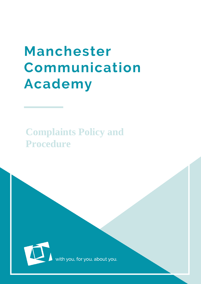# Manchester Communication **Academy**

# **Complaints Policy and Procedure**



th you, for you, about you<mark>.</mark>

MacA  $\sim$  10  $\sim$  10  $\sim$  10  $\sim$  10  $\sim$  10  $\sim$  10  $\sim$  10  $\sim$  10  $\sim$  10  $\sim$  10  $\sim$  10  $\sim$  10  $\sim$  10  $\sim$  10  $\sim$  10  $\sim$  10  $\sim$  10  $\sim$  10  $\sim$  10  $\sim$  10  $\sim$  10  $\sim$  10  $\sim$  10  $\sim$  10  $\sim$  10  $\sim$  10  $\sim$  10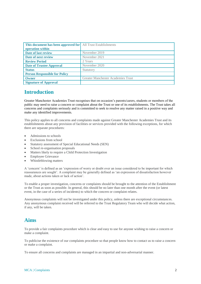| <b>This document has been approved for</b> All Trust Establishments<br>operation within |                                    |
|-----------------------------------------------------------------------------------------|------------------------------------|
| Date of last review                                                                     | November 2019                      |
| Date of next review                                                                     | November 2021                      |
| <b>Review Period</b>                                                                    | 2 Years                            |
| <b>Date of Trustee Approval</b>                                                         | November 2020                      |
| <b>Status</b>                                                                           | Statutory                          |
| <b>Person Responsible for Policy</b>                                                    |                                    |
| Owner                                                                                   | Greater Manchester Academies Trust |
| <b>Signature of Approval</b>                                                            |                                    |

#### **Introduction**

Greater Manchester Academies Trust recognises that on occasion's parents/carers, students or members of the public may need to raise a concern or complaint about the Trust or one of its establishments. The Trust takes all concerns and complaints seriously and is committed to seek to resolve any matter raised in a positive way and make any identified improvements.

This policy applies to all concerns and complaints made against Greater Manchester Academies Trust and its establishments about any provision of facilities or services provided with the following exceptions, for which there are separate procedures:

- Admissions to schools
- Exclusions from school
- Statutory assessment of Special Educational Needs (SEN)
- School re-organisation proposals
- Matters likely to require a Child Protection Investigation
- Employee Grievance
- Whistleblowing matters

A 'concern' is defined as an 'expression of worry or doubt over an issue considered to be important for which reassurances are sought'. A complaint may be generally defined as 'an expression of dissatisfaction however made, about actions taken or lack of action'.

To enable a proper investigation, concerns or complaints should be brought to the attention of the Establishment or the Trust as soon as possible. In general, this should be no later than one month after the event (or latest event, in the case of a series of incidents) to which the concern or complaint relates.

Anonymous complaints will not be investigated under this policy, unless there are exceptional circumstances. Any anonymous complaint received will be referred to the Trust Regulatory Team who will decide what action, if any, will be taken.

#### **Aims**

To provide a fair complaints procedure which is clear and easy to use for anyone wishing to raise a concern or make a complaint.

To publicise the existence of our complaints procedure so that people know how to contact us to raise a concern or make a complaint.

To ensure all concerns and complaints are managed in an impartial and non-adversarial manner.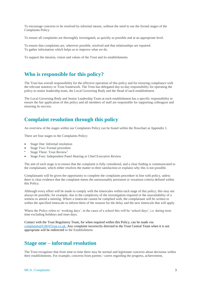To encourage concerns to be resolved by informal means, without the need to use the formal stages of the Complaints Policy.

To ensure all complaints are thoroughly investigated, as quickly as possible and at an appropriate level.

To ensure that complaints are, wherever possible, resolved and that relationships are repaired. To gather information which helps us to improve what we do.

To support the mission, vision and values of the Trust and its establishments.

#### **Who is responsible for this policy?**

The Trust has overall responsibility for the effective operation of this policy and for ensuring compliance with the relevant statutory or Trust framework. The Trust has delegated day-to-day responsibility for operating the policy to senior leadership team, the Local Governing Body and the Head of each establishment.

The Local Governing Body and Senior Leadership Team at each establishment has a specific responsibility to ensure the fair application of this policy and all members of staff are responsible for supporting colleagues and ensuring its success.

#### **Complaint resolution through this policy**

An overview of the stages within our Complaints Policy can be found within the flowchart at Appendix 1.

There are four stages to the Complaints Policy:

- Stage One: Informal resolution
- Stage Two: Formal procedure
- Stage Three: Trust Review<sup>1</sup>
- Stage Four: Independent Panel Hearing or Chief Executive Review

The aim of each stage is to ensure that the complaint is fully considered, and a clear finding is communicated to the complainant, which either resolves the matter to their satisfaction or explains why this is not possible.

Complainants will be given the opportunity to complete the complaints procedure in line with policy, unless there is clear evidence that the complaint meets the unreasonably persistent or vexatious criteria defined within this Policy.

Although every effort will be made to comply with the timescales within each stage of this policy, this may not always be possible; for example, due to the complexity of the investigation required or the unavailability of a witness to attend a meeting. Where a timescale cannot be complied with, the complainant will be written to within the specified timescale to inform them of the reasons for the delay and the new timescale that will apply.

Where the Policy refers to 'working days', in the cases of a school this will be 'school days', i.e. during term time excluding holidays and inset days.

Contact with the Trust Regulatory Team, for when required within this Policy, can be made via: complaints@GMATrust.co.uk. Any complaint incorrectly directed to the Trust Central Team when it is not appropriate will be redirected to the Establishment.

#### **Stage one – informal resolution**

The Trust recognises that from time to time there may be normal and legitimate concerns about decisions within their establishments. For example, concerns from parents / carers regarding the progress, achievement,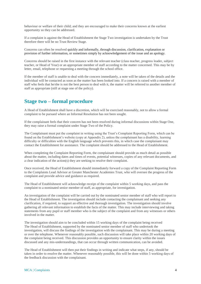behaviour or welfare of their child; and they are encouraged to make their concerns known at the earliest opportunity so they can be addressed.

If a complaint is against the Head of Establishment the Stage Two investigation is undertaken by the Trust therefore there will be no Trust Review Stage.

Concerns can often be resolved quickly and informally, through discussion, clarification, explanation or provision of further information, or sometimes simply by acknowledgement of the issue and an apology.

Concerns should be raised in the first instance with the relevant teacher (class teacher, progress leader, subject teacher, or Head of Year) or an appropriate member of staff according to the matter concerned. This may be by letter, email, telephone or requesting a meeting through the school office.

If the member of staff is unable to deal with the concern immediately, a note will be taken of the details and the individual will be contacted as soon as the matter has been looked into. If a concern is raised with a member of staff who feels that he/she is not the best person to deal with it, the matter will be referred to another member of staff as appropriate (still at stage one of the policy).

#### **Stage two – formal procedure**

A Head of Establishment shall have a discretion, which will be exercised reasonably, not to allow a formal complaint to be pursued where an Informal Resolution has not been sought.

If the complainant feels that their concern has not been resolved during informal discussions within Stage One, they may raise a formal complaint under Stage Two of the Policy.

The Complainant must put the complaint in writing using the Trust's Complaint Reporting Form, which can be found on the Establishment's website (copy at Appendix 2), unless the complainant has a disability, learning difficulty or difficulties with the English language which prevents this, in which case the complainant may contact the Establishment for assistance. The complaint should be addressed to the Head of Establishment.

When completing the Complaint Reporting Form, the complainant should provide as much detail as possible about the matter, including dates and times of events, potential witnesses, copies of any relevant documents, and a clear indication of the action(s) they are seeking to resolve their complaint.

Once received, the Head of Establishment should immediately forward a copy of the Complaint Reporting Form to the Complaints Lead Advisor at Greater Manchester Academies Trust, who will oversee the progress of the complaint and provide advice and guidance as required.

The Head of Establishment will acknowledge receipt of the complaint within 5 working days, and pass the complaint to a nominated senior member of staff, as appropriate, for investigation.

An investigation of the complaint will be carried out by the nominated senior member of staff who will report to the Head of Establishment. The investigation should include contacting the complainant and seeking any clarification, if required, to support an effective and thorough investigation. The investigation should involve gathering all relevant information to establish the facts of the matter. This may include interviewing and taking statements from any pupil or staff member who is the subject of the complaint and from any witnesses or others involved in the matter.

The investigation should aim to be concluded within 15 working days of the complaint being received The Head of Establishment, supported by the nominated senior member of staff who undertook the investigation, will discuss the findings of the investigation with the complainant. This may be during a meeting or over the telephone. Whenever reasonably possible, such discussion will take place within 20 working days of the complaint being received. This discussion provides an opportunity to ensure clarity within the issues discussed and any mis-understandings, that can occur through written communication, can be avoided.

The Head of Establishment will then put their findings in writing and indicate what steps, if any, should be taken in order to resolve the matter. Whenever reasonably possible, this will be done within 5 working days of the feedback discussion with the complainant.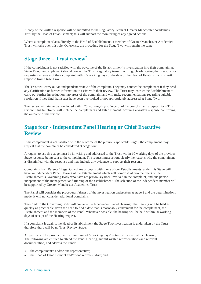A copy of the written response will be submitted to the Regulatory Team at Greater Manchester Academies Trust by the Head of Establishment; this will support the monitoring of any agreed actions.

Where a complaint relates directly to the Head of Establishment, a member of Greater Manchester Academies Trust will take over this role. Otherwise, the procedure for the Stage Two will remain the same.

#### **Stage three – Trust review<sup>2</sup>**

If the complainant is not satisfied with the outcome of the Establishment's investigation into their complaint at Stage Two, the complainant should contact the Trust Regulatory team in writing, clearly stating their reasons for requesting a review of their complaint within 5 working days of the date of the Head of Establishment's written response from Stage Two.

The Trust will carry out an independent review of the complaint. They may contact the complainant if they need any clarification or further information to assist with their review. The Trust may instruct the Establishment to carry out further investigation into areas of the complaint and will make recommendations regarding suitable resolution if they find that issues have been overlooked or not appropriately addressed at Stage Two.

The review will aim to be concluded within 20 working days of receipt of the complainant's request for a Trust review. This timeframe will include the complainant and Establishment receiving a written response confirming the outcome of the review.

#### **Stage four - Independent Panel Hearing or Chief Executive Review**

If the complainant is not satisfied with the outcome of the previous applicable stages, the complainant may request that the complaint be considered at Stage four.

A request to use this stage must be in writing and addressed to the Trust within 10 working days of the previous Stage response being sent to the complainant. The request must set out clearly the reasons why the complainant is dissatisfied with the response and may include any evidence to support their reasons.

Complaints from Parents / Legal Guardians of pupils within one of our Establishments, under this Stage will have an Independent Panel Hearing of the Establishment which will comprise of two members of the Establishment's Governing Body who have not previously been involved in the complaint, and one person independent of the management and running of the establishment. The selection of the independent member will be supported by Greater Manchester Academies Trust

The Panel will consider the procedural fairness of the investigation undertaken at stage 2 and the determinations made, it will not consider additional complaints.

The Clerk to the Governing Body will convene the Independent Panel Hearing. The Hearing will be held as quickly as practicable given the need to find a date that is reasonably convenient for the complainant, the Establishment and the members of the Panel. Whenever possible, the hearing will be held within 30 working days of receipt of the Hearing request.

If a complaint is against the Head of Establishment the Stage Two investigation is undertaken by the Trust therefore there will be no Trust Review Stage.

All parties will be provided with a minimum of 5 working days' notice of the date of the Hearing. The following are entitled to attend the Panel Hearing, submit written representations and relevant documentation, and address the Panel:

- the complainant/s and/or one representative;
- the Head of Establishment and/or one representative; and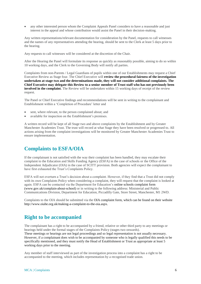any other interested person whom the Complaint Appeals Panel considers to have a reasonable and just interest in the appeal and whose contribution would assist the Panel in their decision-making.

Any written representations/relevant documentation for consideration by the Panel, requests to call witnesses and the names of any representatives attending the hearing, should be sent to the Clerk at least 5 days prior to the hearing.

Any requests to call witnesses will be considered at the discretion of the Chair.

After the Hearing the Panel will formulate its response as quickly as reasonably possible, aiming to do so within 10 working days, and the Clerk to the Governing Body will notify all parties.

Complaints from non-Parents / Legal Guardians of pupils within one of our Establishments may request a Chief Executive Review as Stage four. The Chief Executive will **review the procedural fairness of the investigation undertaken at stage two and the determinations made, they will not consider additional complaints. The Chief Executive may delegate this Review to a senior member of Trust staff who has not previously been involved in the complaint.** The Review will be undertaken within 15 working days of receipt of the review request.

The Panel or Chief Executive findings and recommendations will be sent in writing to the complainant and Establishment within a 'Completion of Procedure' letter and

- sent, where relevant, to the person complained about; and
- available for inspection on the Establishment's premises.

A written record will be kept of all Stage two and above complaints by the Establishment and by Greater Manchester Academies Trust. The trust will record at what Stage they have been resolved or progressed to. All actions arising from the complaint investigations will be monitored by Greater Manchester Academies Trust to ensure implementation.

#### **Complaints to ESFA/OIA**

If the complainant is not satisfied with the way their complaint has been handled, they may escalate their complaint to the Education and Skills Funding Agency (ESFA) in the case of schools or the Office of the Independent Adjudicator (OIA) in the case of SCITT provision. Both agencies will expect the complainant to have first exhausted the Trust's Complaints Policy.

ESFA will not overturn a Trust's decision about a complaint. However, if they find that a Trust did not comply with its own Complaints Policy when considering a complaint, they will request that the complaint is looked at again. ESFA can be contacted via the Department for Education's [online schools complaint form](https://form.education.gov.uk/en/AchieveForms/?form_uri=sandbox-publish://AF-Process-f1453496-7d8a-463f-9f33-1da2ac47ed76/AF-Stage-1e64d4cc-25fb-499a-a8d7-74e98203ac00/definition.json&redirectlink=%2Fen&cancelRedirectLink=%2Fen)  [\(www.gov.uk/complain-about-school\)](http://www.gov.uk/complain-about-school) or in writing to the following address: Ministerial and Public Communications Division, Department for Education, Piccadilly Gate, Store Street, Manchester, M1 2WD.

Complaints to the OIA should be submitted via the [OIA complaint form, w](http://www.oiahe.org.uk/making-a-complaint-to-the-oia/oia-complaint-form.aspx)hich can be found on their website [http://www.oiahe.org.uk/making-a-complaint-to-the-oia.aspx.](http://www.oiahe.org.uk/making-a-complaint-to-the-oia.aspx)

#### **Right to be accompanied**

The complainant has a right to be accompanied by a friend, relative or other third party to any meetings or hearings held under the formal stages of the Complaints Policy (stages two onwards). These meetings or hearings are not legal proceedings and so legal representation is not usually necessary. However, if a complainant does wish to be accompanied by someone who is legally qualified this needs to be specifically mentioned, and they must notify the Head of Establishment or Trust as appropriate at least 5 working days prior to the meeting.

Any member of staff interviewed as part of the investigation process into a complaint has a right to be accompanied to the meeting, which includes representation by a recognised trade union.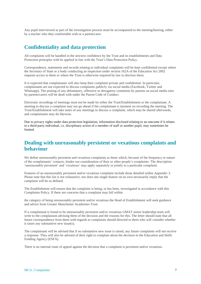Any pupil interviewed as part of the investigation process must be accompanied to the meeting/hearing, either by a teacher who they comfortable with or a parent/carer.

#### **Confidentiality and data protection**

All complaints will be handled in the strictest confidence by the Trust and its establishments and Data Protection principles with be applied in line with the Trust's Data Protection Policy.

Correspondence, statements and records relating to individual complaints will be kept confidential except where the Secretary of State or a body conducting an inspection under section 162A of the Education Act 2002 requests access to them or where the Trust is otherwise required by law to disclose them.

It is expected that complainants will also keep their complaint private and confidential. In particular, complainants are not expected to discuss complaints publicly via social media (Facebook, Twitter and Whatsapp). The posting of any defamatory, offensive or derogatory comments by parents on social media sites by parents/carers will be dealt with under the Parent Code of Conduct.

Electronic recordings of meetings must not be made by either the Trust/Establishment or the complainant. A meeting to discuss a complaint may not go ahead if the complainant is insistent on recording the meeting. The Trust/Establishment will take notes of any meetings to discuss a complaint, which may be shared afterwards, and complainants may do likewise.

Due to privacy rights under data protection legislation, information disclosed relating to an outcome if it relates to a third-party individual, i.e. disciplinary action of a member of staff or another pupil, may sometimes be limited.

#### **Dealing with unreasonably persistent or vexatious complaints and behaviour**

We define unreasonably persistent and vexatious complaints as those which, because of the frequency or nature of the complainants' contacts, hinder our consideration of their or other people's complaints. The description 'unreasonably persistent' and 'vexatious' may apply separately or jointly to a particular complaint.

Features of an unreasonably persistent and/or vexatious complaint include those detailed within Appendix 3. Please note that this list is not exhaustive, nor does one single feature on its own necessarily imply that the complaint will be so defined.

The Establishment will ensure that the complaint is being, or has been, investigated in accordance with this Complaints Policy. If there are concerns that a complaint may fall within

the category of being unreasonably persistent and/or vexatious the Head of Establishment will seek guidance and advice from Greater Manchester Academies Trust

If a complainant is found to be unreasonably persistent and/or vexatious GMAT senior leadership team will write to the complainant advising them of the decision and the reasons for this. The letter should state that all future correspondence from them with regards to complaints should directed to them who will consider whether it raises any substantive new issue(s).

The complainant will be advised that if no substantive new issue is raised, any future complaints will not receive a response. They will also be advised of their right to complain about the decision to the Education and Skills Funding Agency (ESFA).

There is no internal route of appeal against the decision that a complaint is persistent and/or vexatious.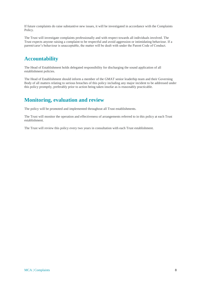If future complaints do raise substantive new issues, it will be investigated in accordance with the Complaints Policy.

The Trust will investigate complaints professionally and with respect towards all individuals involved. The Trust expects anyone raising a complaint to be respectful and avoid aggression or intimidating behaviour. If a parent/carer's behaviour is unacceptable, the matter will be dealt with under the Parent Code of Conduct.

#### **Accountability**

The Head of Establishment holds delegated responsibility for discharging the sound application of all establishment policies.

The Head of Establishment should inform a member of the GMAT senior leaderhip team and their Governing Body of all matters relating to serious breaches of this policy including any major incident to be addressed under this policy promptly, preferably prior to action being taken insofar as is reasonably practicable.

#### **Monitoring, evaluation and review**

The policy will be promoted and implemented throughout all Trust establishments.

The Trust will monitor the operation and effectiveness of arrangements referred to in this policy at each Trust establishment.

The Trust will review this policy every two years in consultation with each Trust establishment.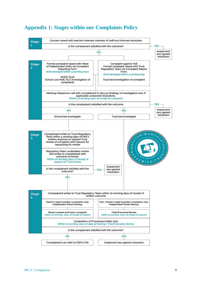

#### **Appendix 1: Stages within our Complaints Policy**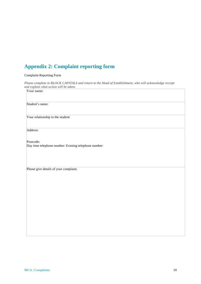### **Appendix 2: Complaint reporting form**

#### Complaint Reporting Form

*Please complete in BLOCK CAPITALS and return to the Head of Establishment, who will acknowledge receipt and explain what action will be taken.*

| Your name:                                                        |
|-------------------------------------------------------------------|
| Student's name:                                                   |
| Your relationship to the student:                                 |
| Address:                                                          |
| Postcode:<br>Day time telephone number: Evening telephone number: |
| Please give details of your complaint.                            |
|                                                                   |
|                                                                   |
|                                                                   |
|                                                                   |
|                                                                   |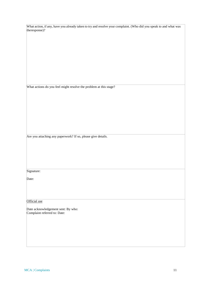| What action, if any, have you already taken to try and resolve your complaint. (Who did you speak to and what was |  |
|-------------------------------------------------------------------------------------------------------------------|--|
| theresponse)?                                                                                                     |  |

What actions do you feel might resolve the problem at this stage?

Are you attaching any paperwork? If so, please give details.

## Signature:

Date:

#### Official use

Date acknowledgement sent: By who: Complaint referred to: Date: